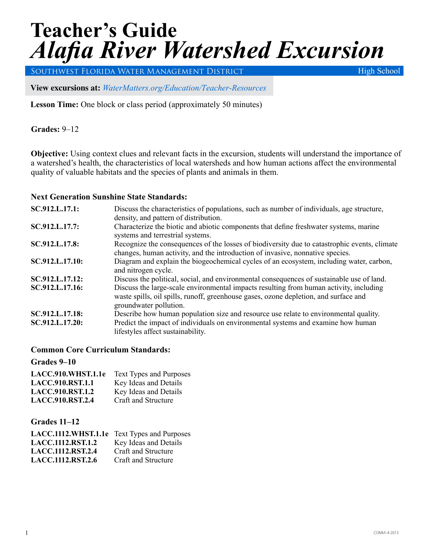# **Teacher's Guide** *Alafia River Watershed Excursion*

Southwest Florida Water Management District

High School

**View excursions at:** *WaterMatters.org/[Education/Teacher-Resources](https://www.swfwmd.state.fl.us/residents/education/teacher-resources)*

**Lesson Time:** One block or class period (approximately 50 minutes)

**Grades:** 9–12

**Objective:** Using context clues and relevant facts in the excursion, students will understand the importance of a watershed's health, the characteristics of local watersheds and how human actions affect the environmental quality of valuable habitats and the species of plants and animals in them.

#### **Next Generation Sunshine State Standards:**

| SC.912.L.17.1:  | Discuss the characteristics of populations, such as number of individuals, age structure,<br>density, and pattern of distribution.                                                                       |
|-----------------|----------------------------------------------------------------------------------------------------------------------------------------------------------------------------------------------------------|
| SC.912.L.17.7:  | Characterize the biotic and abiotic components that define freshwater systems, marine<br>systems and terrestrial systems.                                                                                |
| SC.912.L.17.8:  | Recognize the consequences of the losses of biodiversity due to catastrophic events, climate<br>changes, human activity, and the introduction of invasive, nonnative species.                            |
| SC.912.L.17.10: | Diagram and explain the biogeochemical cycles of an ecosystem, including water, carbon,<br>and nitrogen cycle.                                                                                           |
| SC.912.L.17.12: | Discuss the political, social, and environmental consequences of sustainable use of land.                                                                                                                |
| SC.912.L.17.16: | Discuss the large-scale environmental impacts resulting from human activity, including<br>waste spills, oil spills, runoff, greenhouse gases, ozone depletion, and surface and<br>groundwater pollution. |
| SC.912.L.17.18: | Describe how human population size and resource use relate to environmental quality.                                                                                                                     |
| SC.912.L.17.20: | Predict the impact of individuals on environmental systems and examine how human<br>lifestyles affect sustainability.                                                                                    |

#### **Common Core Curriculum Standards:**

**Grades 9–10**

| LACC.910.WHST.1.1e      | <b>Text Types and Purposes</b> |
|-------------------------|--------------------------------|
| <b>LACC.910.RST.1.1</b> | Key Ideas and Details          |
| <b>LACC.910.RST.1.2</b> | Key Ideas and Details          |
| <b>LACC.910.RST.2.4</b> | Craft and Structure            |

**Grades 11–12**

| LACC.1112.WHST.1.1e Text Types and Purposes |                       |
|---------------------------------------------|-----------------------|
| <b>LACC.1112.RST.1.2</b>                    | Key Ideas and Details |
| <b>LACC.1112.RST.2.4</b>                    | Craft and Structure   |
| <b>LACC.1112, RST.2.6</b>                   | Craft and Structure   |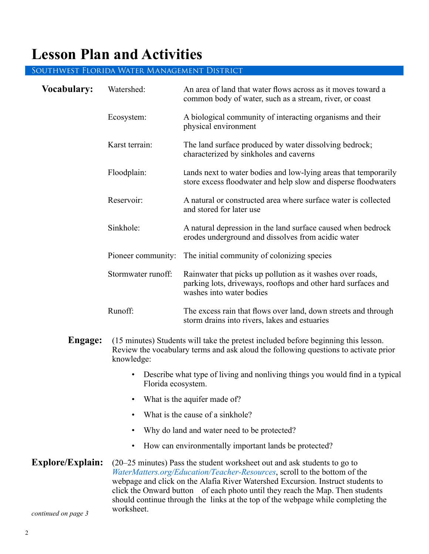## **Lesson Plan and Activities**

#### Southwest Florida Water Management District

| <b>Vocabulary:</b>      | Watershed:                                                                                                                                                                                                                                                                                                                                                                                                                 | An area of land that water flows across as it moves toward a<br>common body of water, such as a stream, river, or coast                                 |  |  |
|-------------------------|----------------------------------------------------------------------------------------------------------------------------------------------------------------------------------------------------------------------------------------------------------------------------------------------------------------------------------------------------------------------------------------------------------------------------|---------------------------------------------------------------------------------------------------------------------------------------------------------|--|--|
|                         | Ecosystem:                                                                                                                                                                                                                                                                                                                                                                                                                 | A biological community of interacting organisms and their<br>physical environment                                                                       |  |  |
|                         | Karst terrain:                                                                                                                                                                                                                                                                                                                                                                                                             | The land surface produced by water dissolving bedrock;<br>characterized by sinkholes and caverns                                                        |  |  |
|                         | Floodplain:                                                                                                                                                                                                                                                                                                                                                                                                                | Lands next to water bodies and low-lying areas that temporarily<br>store excess floodwater and help slow and disperse floodwaters                       |  |  |
|                         | Reservoir:                                                                                                                                                                                                                                                                                                                                                                                                                 | A natural or constructed area where surface water is collected<br>and stored for later use                                                              |  |  |
|                         | Sinkhole:                                                                                                                                                                                                                                                                                                                                                                                                                  | A natural depression in the land surface caused when bedrock<br>erodes underground and dissolves from acidic water                                      |  |  |
|                         | Pioneer community:                                                                                                                                                                                                                                                                                                                                                                                                         | The initial community of colonizing species                                                                                                             |  |  |
|                         | Stormwater runoff:                                                                                                                                                                                                                                                                                                                                                                                                         | Rainwater that picks up pollution as it washes over roads,<br>parking lots, driveways, rooftops and other hard surfaces and<br>washes into water bodies |  |  |
|                         | Runoff:                                                                                                                                                                                                                                                                                                                                                                                                                    | The excess rain that flows over land, down streets and through<br>storm drains into rivers, lakes and estuaries                                         |  |  |
| Engage:                 | (15 minutes) Students will take the pretest included before beginning this lesson.<br>Review the vocabulary terms and ask aloud the following questions to activate prior<br>knowledge:                                                                                                                                                                                                                                    |                                                                                                                                                         |  |  |
|                         | Describe what type of living and nonliving things you would find in a typical<br>$\bullet$<br>Florida ecosystem.                                                                                                                                                                                                                                                                                                           |                                                                                                                                                         |  |  |
|                         | What is the aquifer made of?                                                                                                                                                                                                                                                                                                                                                                                               |                                                                                                                                                         |  |  |
|                         | What is the cause of a sinkhole?<br>$\bullet$                                                                                                                                                                                                                                                                                                                                                                              |                                                                                                                                                         |  |  |
|                         | Why do land and water need to be protected?<br>$\bullet$                                                                                                                                                                                                                                                                                                                                                                   |                                                                                                                                                         |  |  |
|                         | How can environmentally important lands be protected?<br>$\bullet$                                                                                                                                                                                                                                                                                                                                                         |                                                                                                                                                         |  |  |
| <b>Explore/Explain:</b> | (20–25 minutes) Pass the student worksheet out and ask students to go to<br>WaterMatters.org/Education/Teacher-Resources, scroll to the bottom of the<br>webpage and click on the Alafia River Watershed Excursion. Instruct students to<br>click the Onward button of each photo until they reach the Map. Then students<br>should continue through the links at the top of the webpage while completing the<br>workshoot |                                                                                                                                                         |  |  |

worksheet. *continued on page 3*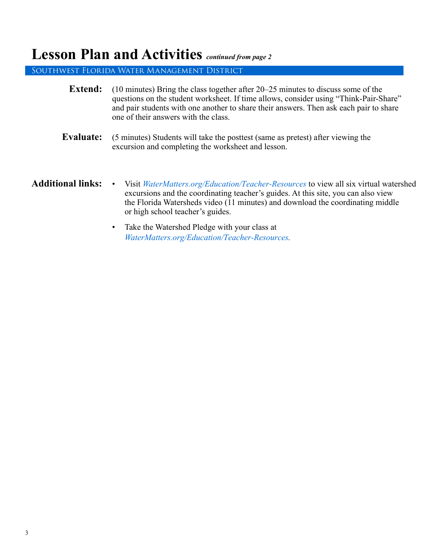## **Lesson Plan and Activities** *continued from page 2*

Southwest Florida Water Management District

| <b>Extend:</b>           | $(10 \text{ minutes})$ Bring the class together after 20–25 minutes to discuss some of the<br>questions on the student worksheet. If time allows, consider using "Think-Pair-Share"<br>and pair students with one another to share their answers. Then ask each pair to share<br>one of their answers with the class. |
|--------------------------|-----------------------------------------------------------------------------------------------------------------------------------------------------------------------------------------------------------------------------------------------------------------------------------------------------------------------|
| Evaluate:                | (5 minutes) Students will take the posttest (same as pretest) after viewing the<br>excursion and completing the worksheet and lesson.                                                                                                                                                                                 |
| <b>Additional links:</b> | Visit WaterMatters.org/Education/Teacher-Resources to view all six virtual watershed<br>$\bullet$<br>excursions and the coordinating teacher's guides. At this site, you can also view<br>the Florida Watersheds video (11 minutes) and download the coordinating middle<br>or high school teacher's guides.          |
|                          | Take the Watershed Pledge with your class at<br>$\bullet$<br>WaterMatters.org/Education/Teacher-Resources.                                                                                                                                                                                                            |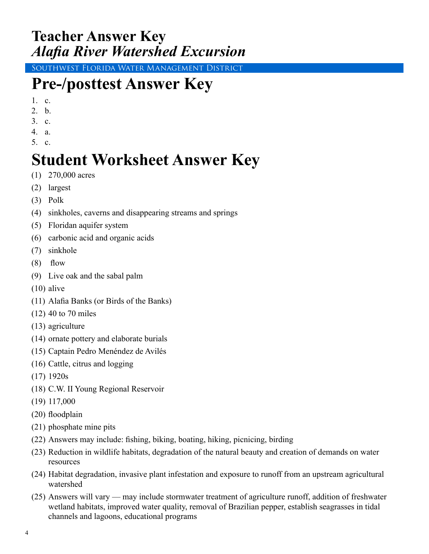## **Teacher Answer Key** *Alafia River Watershed Excursion*

Southwest Florida Water Management District

## **Pre-/posttest Answer Key**

- 1. c.
- 2. b.
- 3. c.
- 4. a.
- 5. c.

## **Student Worksheet Answer Key**

- (1) 270,000 acres
- (2) largest
- (3) Polk
- (4) sinkholes, caverns and disappearing streams and springs
- (5) Floridan aquifer system
- (6) carbonic acid and organic acids
- (7) sinkhole
- $(8)$  flow
- (9) Live oak and the sabal palm
- (10) alive
- (11) Alafia Banks (or Birds of the Banks)
- (12) 40 to 70 miles
- (13) agriculture
- (14) ornate pottery and elaborate burials
- (15) Captain Pedro Menéndez de Avilés
- (16) Cattle, citrus and logging
- (17) 1920s
- (18) C.W. II Young Regional Reservoir
- (19) 117,000
- (20) floodplain
- (21) phosphate mine pits
- (22) Answers may include: fishing, biking, boating, hiking, picnicing, birding
- (23) Reduction in wildlife habitats, degradation of the natural beauty and creation of demands on water resources
- (24) Habitat degradation, invasive plant infestation and exposure to runoff from an upstream agricultural watershed
- (25) Answers will vary may include stormwater treatment of agriculture runoff, addition of freshwater wetland habitats, improved water quality, removal of Brazilian pepper, establish seagrasses in tidal channels and lagoons, educational programs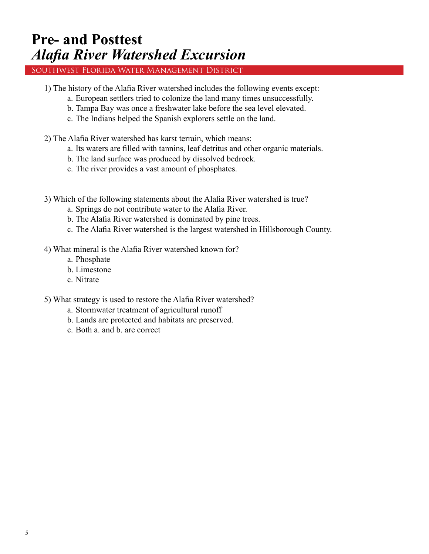## **Pre- and Posttest** *Alafia River Watershed Excursion*

#### Southwest Florida Water Management District

- 1) The history of the Alafia River watershed includes the following events except:
	- a. European settlers tried to colonize the land many times unsuccessfully.
	- b. Tampa Bay was once a freshwater lake before the sea level elevated.
	- c. The Indians helped the Spanish explorers settle on the land.
- 2) The Alafia River watershed has karst terrain, which means:
	- a. Its waters are filled with tannins, leaf detritus and other organic materials.
	- b. The land surface was produced by dissolved bedrock.
	- c. The river provides a vast amount of phosphates.
- 3) Which of the following statements about the Alafia River watershed is true?
	- a. Springs do not contribute water to the Alafia River.
	- b. The Alafia River watershed is dominated by pine trees.
	- c. The Alafia River watershed is the largest watershed in Hillsborough County.
- 4) What mineral is the Alafia River watershed known for?
	- a. Phosphate
	- b. Limestone
	- c. Nitrate
- 5) What strategy is used to restore the Alafia River watershed?
	- a. Stormwater treatment of agricultural runoff
	- b. Lands are protected and habitats are preserved.
	- c. Both a. and b. are correct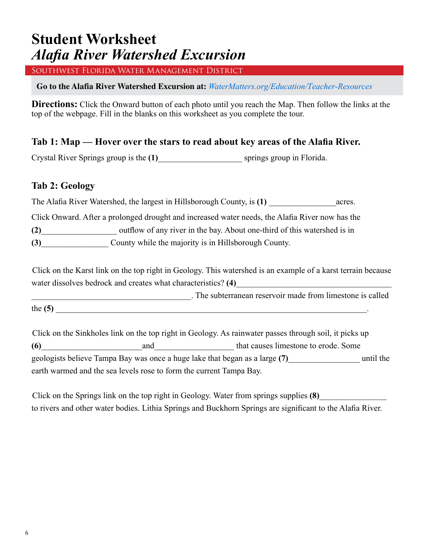## **Student Worksheet** *Alafia River Watershed Excursion*

Southwest Florida Water Management District

**Go to the Alafia River Watershed Excursion at:** *WaterMatters.org/[Education/Teacher-Resources](https://www.swfwmd.state.fl.us/residents/education/teacher-resources)*

**Directions:** Click the Onward button of each photo until you reach the Map. Then follow the links at the top of the webpage. Fill in the blanks on this worksheet as you complete the tour.

#### **Tab 1: Map — Hover over the stars to read about key areas of the Alafia River.**

Crystal River Springs group is the **(1)**\_\_\_\_\_\_\_\_\_\_\_\_\_\_\_\_\_\_\_\_ springs group in Florida.

#### **Tab 2: Geology**

The Alafia River Watershed, the largest in Hillsborough County, is (1) acres.

Click Onward. After a prolonged drought and increased water needs, the Alafia River now has the **(2)**\_\_\_\_\_\_\_\_\_\_\_\_\_\_\_\_\_\_ outflow of any river in the bay. About one-third of this watershed is in

**(3)** County while the majority is in Hillsborough County.

Click on the Karst link on the top right in Geology. This watershed is an example of a karst terrain because water dissolves bedrock and creates what characteristics? (4)

\_\_\_\_\_\_\_\_\_\_\_\_\_\_\_\_\_\_\_\_\_\_\_\_\_\_\_\_\_\_\_\_\_\_\_\_\_\_. The subterranean reservoir made from limestone is called the  $(5)$ 

Click on the Sinkholes link on the top right in Geology. As rainwater passes through soil, it picks up **(6)** and and that causes limestone to erode. Some geologists believe Tampa Bay was once a huge lake that began as a large **(7)**\_\_\_\_\_\_\_\_\_\_\_\_\_\_\_\_\_ until the earth warmed and the sea levels rose to form the current Tampa Bay.

Click on the Springs link on the top right in Geology. Water from springs supplies **(8)**\_\_\_\_\_\_\_\_\_\_\_\_\_\_\_\_ to rivers and other water bodies. Lithia Springs and Buckhorn Springs are significant to the Alafia River.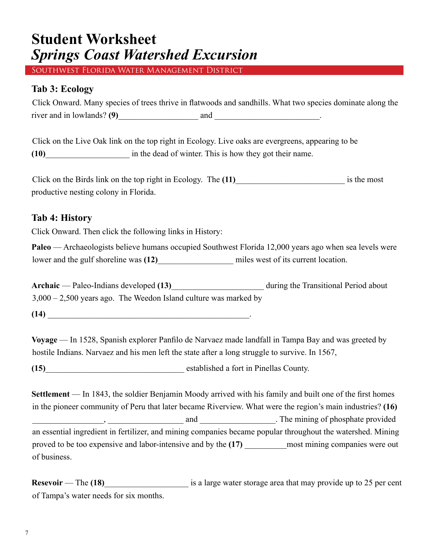## **Student Worksheet** *Springs Coast Watershed Excursion*

Southwest Florida Water Management District

#### **Tab 3: Ecology**

| Click Onward. Many species of trees thrive in flatwoods and sandhills. What two species dominate along the |     |  |  |
|------------------------------------------------------------------------------------------------------------|-----|--|--|
| river and in lowlands? $(9)$                                                                               | and |  |  |

Click on the Live Oak link on the top right in Ecology. Live oaks are evergreens, appearing to be **(10)**\_\_\_\_\_\_\_\_\_\_\_\_\_\_\_\_\_\_\_\_ in the dead of winter. This is how they got their name.

Click on the Birds link on the top right in Ecology. The (11) is the most productive nesting colony in Florida.

#### **Tab 4: History**

Click Onward. Then click the following links in History:

**Paleo** — Archaeologists believe humans occupied Southwest Florida 12,000 years ago when sea levels were lower and the gulf shoreline was (12) and miles west of its current location.

**Archaic** — Paleo-Indians developed **(13)**\_\_\_\_\_\_\_\_\_\_\_\_\_\_\_\_\_\_\_\_\_\_ during the Transitional Period about 3,000 – 2,500 years ago. The Weedon Island culture was marked by

**(14)** \_\_\_\_\_\_\_\_\_\_\_\_\_\_\_\_\_\_\_\_\_\_\_\_\_\_\_\_\_\_\_\_\_\_\_\_\_\_\_\_\_\_\_\_\_\_\_\_.

**Voyage** — In 1528, Spanish explorer Panfilo de Narvaez made landfall in Tampa Bay and was greeted by hostile Indians. Narvaez and his men left the state after a long struggle to survive. In 1567,

**(15)**\_\_\_\_\_\_\_\_\_\_\_\_\_\_\_\_\_\_\_\_\_\_\_\_\_\_\_\_\_\_\_\_\_ established a fort in Pinellas County.

**Settlement** — In 1843, the soldier Benjamin Moody arrived with his family and built one of the first homes in the pioneer community of Peru that later became Riverview. What were the region's main industries? **(16)** . The mining of phosphate provided an essential ingredient in fertilizer, and mining companies became popular throughout the watershed. Mining proved to be too expensive and labor-intensive and by the **(17)** \_\_\_\_\_\_\_\_\_\_most mining companies were out of business.

**Resevoir** — The (18)\_\_\_\_\_\_\_\_\_\_\_\_\_\_\_\_\_\_\_\_\_\_\_\_ is a large water storage area that may provide up to 25 per cent of Tampa's water needs for six months.